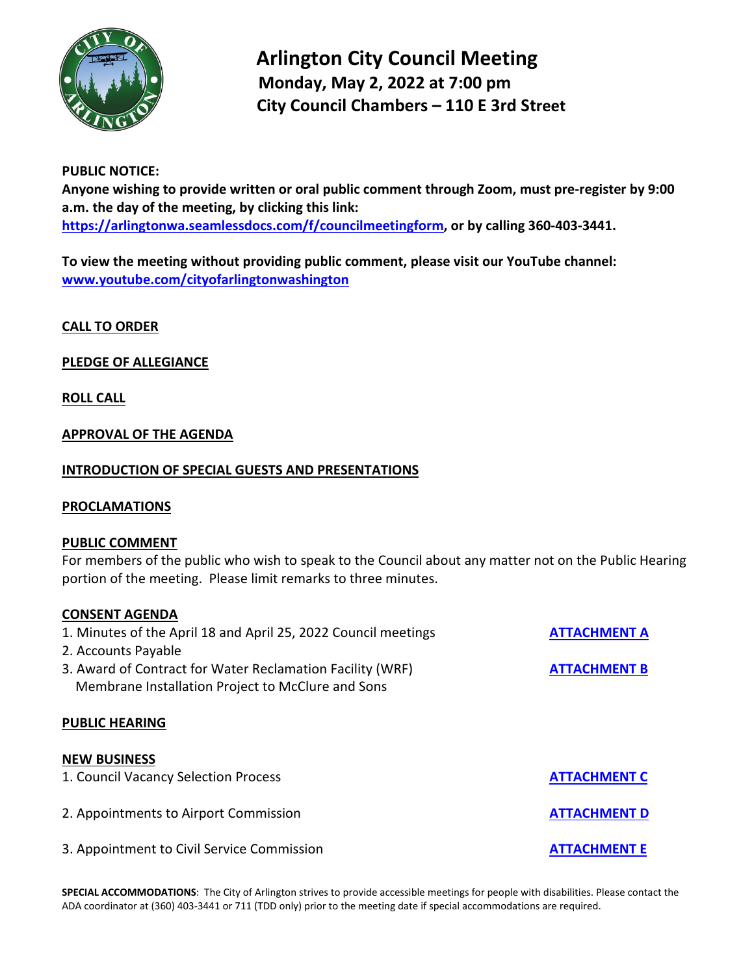

# **Arlington City Council Meeting Monday, May 2, 2022 at 7:00 pm City Council Chambers – 110 E 3rd Street**

# **PUBLIC NOTICE:**

**Anyone wishing to provide written or oral public comment through Zoom, must pre-register by 9:00 a.m. the day of the meeting, by clicking this link: [https://arlingtonwa.seamlessdocs.com/f/councilmeetingform,](https://arlingtonwa.seamlessdocs.com/f/councilmeetingform) or by calling 360-403-3441.**

**To view the meeting without providing public comment, please visit our YouTube channel: [www.youtube.com/cityofarlingtonwashington](http://www.youtube.com/cityofarlingtonwashington)**

**CALL TO ORDER**

# **PLEDGE OF ALLEGIANCE**

**ROLL CALL**

# **APPROVAL OF THE AGENDA**

#### **INTRODUCTION OF SPECIAL GUESTS AND PRESENTATIONS**

#### **PROCLAMATIONS**

#### **PUBLIC COMMENT**

For members of the public who wish to speak to the Council about any matter not on the Public Hearing portion of the meeting. Please limit remarks to three minutes.

#### **CONSENT AGENDA**

| 1. Minutes of the April 18 and April 25, 2022 Council meetings | <b>ATTACHMENT A</b> |
|----------------------------------------------------------------|---------------------|
| 2. Accounts Payable                                            |                     |
| 3. Award of Contract for Water Reclamation Facility (WRF)      | <b>ATTACHMENT B</b> |
| Membrane Installation Project to McClure and Sons              |                     |
|                                                                |                     |
| <b>PUBLIC HEARING</b>                                          |                     |
|                                                                |                     |
| <b>NEW BUSINESS</b>                                            |                     |
| 1. Council Vacancy Selection Process                           | <b>ATTACHMENT C</b> |
|                                                                |                     |
| 2. Appointments to Airport Commission                          | <b>ATTACHMENT D</b> |
|                                                                |                     |
| 3. Appointment to Civil Service Commission                     |                     |
|                                                                | <b>ATTACHMENT E</b> |

**SPECIAL ACCOMMODATIONS**: The City of Arlington strives to provide accessible meetings for people with disabilities. Please contact the ADA coordinator at (360) 403-3441 or 711 (TDD only) prior to the meeting date if special accommodations are required.